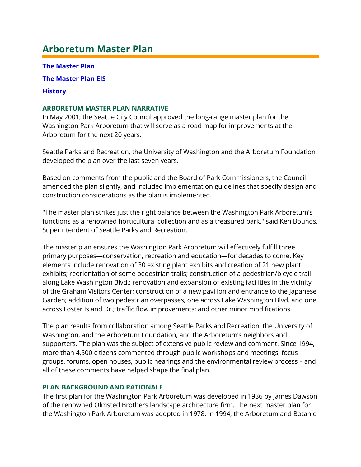# **Arboretum Master Plan**

**[The Master Plan](http://www.seattle.gov/Documents/Departments/ParksAndRecreation/Projects/LoopTrail/apx-a1.pdf)**

**[The Master Plan EIS](http://www.seattle.gov/Documents/Departments/ParksAndRecreation/Projects/LoopTrail/ArboretumMasterPlan-EIS2001.pdf)**

### **[History](http://www.seattle.gov/Documents/Departments/ParksAndRecreation/Projects/LoopTrail/ArboretumPlanHistory.pdf)**

# **ARBORETUM MASTER PLAN NARRATIVE**

In May 2001, the Seattle City Council approved the long-range master plan for the Washington Park Arboretum that will serve as a road map for improvements at the Arboretum for the next 20 years.

Seattle Parks and Recreation, the University of Washington and the Arboretum Foundation developed the plan over the last seven years.

Based on comments from the public and the Board of Park Commissioners, the Council amended the plan slightly, and included implementation guidelines that specify design and construction considerations as the plan is implemented.

"The master plan strikes just the right balance between the Washington Park Arboretum's functions as a renowned horticultural collection and as a treasured park," said Ken Bounds, Superintendent of Seattle Parks and Recreation.

The master plan ensures the Washington Park Arboretum will effectively fulfill three primary purposes—conservation, recreation and education—for decades to come. Key elements include renovation of 30 existing plant exhibits and creation of 21 new plant exhibits; reorientation of some pedestrian trails; construction of a pedestrian/bicycle trail along Lake Washington Blvd.; renovation and expansion of existing facilities in the vicinity of the Graham Visitors Center; construction of a new pavilion and entrance to the Japanese Garden; addition of two pedestrian overpasses, one across Lake Washington Blvd. and one across Foster Island Dr.; traffic flow improvements; and other minor modifications.

The plan results from collaboration among Seattle Parks and Recreation, the University of Washington, and the Arboretum Foundation, and the Arboretum's neighbors and supporters. The plan was the subject of extensive public review and comment. Since 1994, more than 4,500 citizens commented through public workshops and meetings, focus groups, forums, open houses, public hearings and the environmental review process – and all of these comments have helped shape the final plan.

### **PLAN BACKGROUND AND RATIONALE**

The first plan for the Washington Park Arboretum was developed in 1936 by James Dawson of the renowned Olmsted Brothers landscape architecture firm. The next master plan for the Washington Park Arboretum was adopted in 1978. In 1994, the Arboretum and Botanic